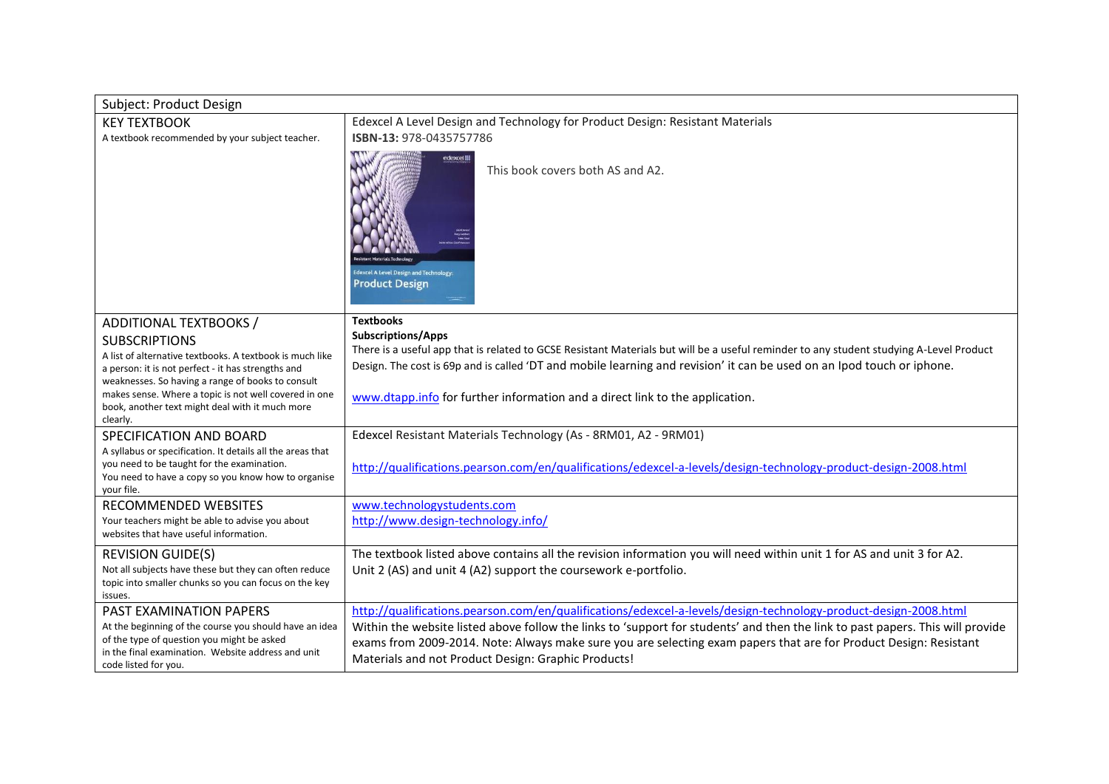| Subject: Product Design                                                                                        |                                                                                                                                                                                                                                                                   |
|----------------------------------------------------------------------------------------------------------------|-------------------------------------------------------------------------------------------------------------------------------------------------------------------------------------------------------------------------------------------------------------------|
| <b>KEY TEXTBOOK</b>                                                                                            | Edexcel A Level Design and Technology for Product Design: Resistant Materials                                                                                                                                                                                     |
| A textbook recommended by your subject teacher.                                                                | ISBN-13: 978-0435757786                                                                                                                                                                                                                                           |
|                                                                                                                | edexcel !!!<br>This book covers both AS and A2.<br><b>Edexcel A Level Design and Technology:</b><br><b>Product Design</b>                                                                                                                                         |
| ADDITIONAL TEXTBOOKS /                                                                                         | <b>Textbooks</b>                                                                                                                                                                                                                                                  |
| <b>SUBSCRIPTIONS</b>                                                                                           | <b>Subscriptions/Apps</b>                                                                                                                                                                                                                                         |
| A list of alternative textbooks. A textbook is much like                                                       | There is a useful app that is related to GCSE Resistant Materials but will be a useful reminder to any student studying A-Level Product<br>Design. The cost is 69p and is called 'DT and mobile learning and revision' it can be used on an Ipod touch or iphone. |
| a person: it is not perfect - it has strengths and<br>weaknesses. So having a range of books to consult        |                                                                                                                                                                                                                                                                   |
| makes sense. Where a topic is not well covered in one                                                          | www.dtapp.info for further information and a direct link to the application.                                                                                                                                                                                      |
| book, another text might deal with it much more                                                                |                                                                                                                                                                                                                                                                   |
| clearly.                                                                                                       |                                                                                                                                                                                                                                                                   |
| SPECIFICATION AND BOARD                                                                                        | Edexcel Resistant Materials Technology (As - 8RM01, A2 - 9RM01)                                                                                                                                                                                                   |
| A syllabus or specification. It details all the areas that<br>you need to be taught for the examination.       |                                                                                                                                                                                                                                                                   |
| You need to have a copy so you know how to organise                                                            | http://qualifications.pearson.com/en/qualifications/edexcel-a-levels/design-technology-product-design-2008.html                                                                                                                                                   |
| your file.                                                                                                     |                                                                                                                                                                                                                                                                   |
| <b>RECOMMENDED WEBSITES</b>                                                                                    | www.technologystudents.com                                                                                                                                                                                                                                        |
| Your teachers might be able to advise you about<br>websites that have useful information.                      | http://www.design-technology.info/                                                                                                                                                                                                                                |
|                                                                                                                |                                                                                                                                                                                                                                                                   |
| <b>REVISION GUIDE(S)</b>                                                                                       | The textbook listed above contains all the revision information you will need within unit 1 for AS and unit 3 for A2.                                                                                                                                             |
| Not all subjects have these but they can often reduce<br>topic into smaller chunks so you can focus on the key | Unit 2 (AS) and unit 4 (A2) support the coursework e-portfolio.                                                                                                                                                                                                   |
| issues.                                                                                                        |                                                                                                                                                                                                                                                                   |
| PAST EXAMINATION PAPERS                                                                                        | http://qualifications.pearson.com/en/qualifications/edexcel-a-levels/design-technology-product-design-2008.html                                                                                                                                                   |
| At the beginning of the course you should have an idea                                                         | Within the website listed above follow the links to 'support for students' and then the link to past papers. This will provide                                                                                                                                    |
| of the type of question you might be asked<br>in the final examination. Website address and unit               | exams from 2009-2014. Note: Always make sure you are selecting exam papers that are for Product Design: Resistant                                                                                                                                                 |
| code listed for you.                                                                                           | Materials and not Product Design: Graphic Products!                                                                                                                                                                                                               |